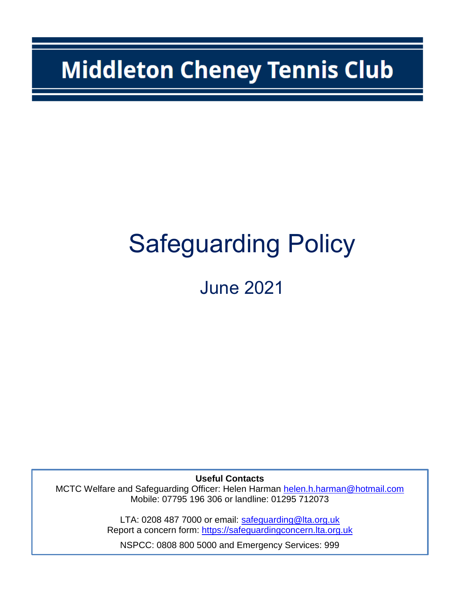# **Middleton Cheney Tennis Club**

# Safeguarding Policy

June 2021

**Useful Contacts**

MCTC Welfare and Safeguarding Officer: Helen Harman [helen.h.harman@hotmail.com](mailto:helen.h.harman@hotmail.com) Mobile: 07795 196 306 or landline: 01295 712073

> LTA: 0208 487 7000 or email: [safeguarding@lta.org.uk](mailto:safeguarding@lta.org.uk) Report a concern form: [https://safeguardingconcern.lta.org.uk](https://safeguardingconcern.lta.org.uk/)

NSPCC: 0808 800 5000 and Emergency Services: 999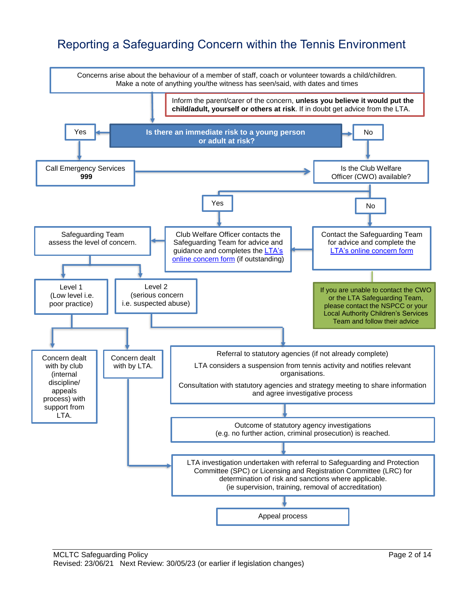# Reporting a Safeguarding Concern within the Tennis Environment

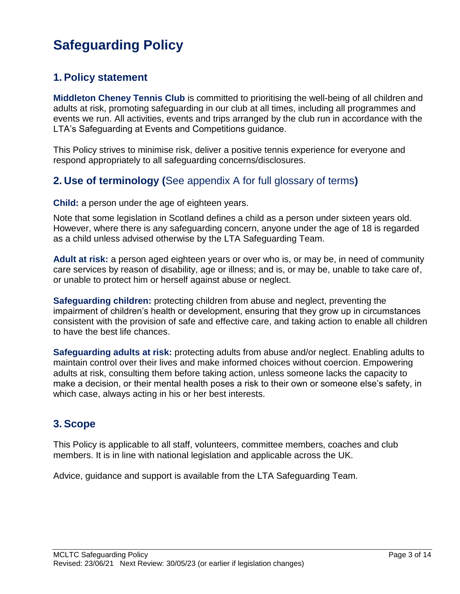# **Safeguarding Policy**

## **1. Policy statement**

**Middleton Cheney Tennis Club** is committed to prioritising the well-being of all children and adults at risk, promoting safeguarding in our club at all times, including all programmes and events we run. All activities, events and trips arranged by the club run in accordance with the LTA's Safeguarding at Events and Competitions guidance.

This Policy strives to minimise risk, deliver a positive tennis experience for everyone and respond appropriately to all safeguarding concerns/disclosures.

## **2. Use of terminology (**See appendix A for full glossary of terms**)**

**Child:** a person under the age of eighteen years.

Note that some legislation in Scotland defines a child as a person under sixteen years old. However, where there is any safeguarding concern, anyone under the age of 18 is regarded as a child unless advised otherwise by the LTA Safeguarding Team.

**Adult at risk:** a person aged eighteen years or over who is, or may be, in need of community care services by reason of disability, age or illness; and is, or may be, unable to take care of, or unable to protect him or herself against abuse or neglect.

**Safeguarding children:** protecting children from abuse and neglect, preventing the impairment of children's health or development, ensuring that they grow up in circumstances consistent with the provision of safe and effective care, and taking action to enable all children to have the best life chances.

**Safeguarding adults at risk:** protecting adults from abuse and/or neglect. Enabling adults to maintain control over their lives and make informed choices without coercion. Empowering adults at risk, consulting them before taking action, unless someone lacks the capacity to make a decision, or their mental health poses a risk to their own or someone else's safety, in which case, always acting in his or her best interests.

## **3. Scope**

This Policy is applicable to all staff, volunteers, committee members, coaches and club members. It is in line with national legislation and applicable across the UK.

Advice, guidance and support is available from the LTA Safeguarding Team.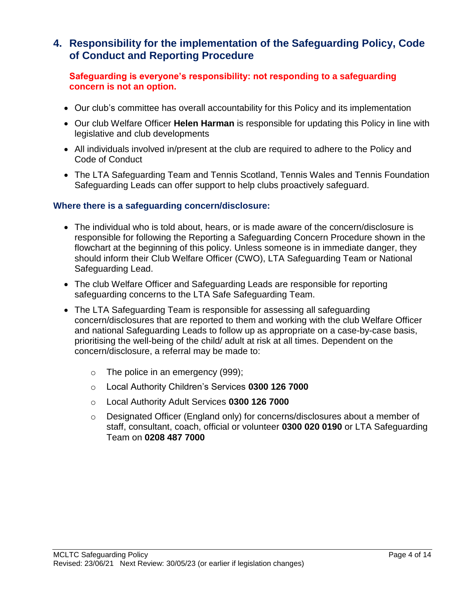### **4. Responsibility for the implementation of the Safeguarding Policy, Code of Conduct and Reporting Procedure**

#### **Safeguarding is everyone's responsibility: not responding to a safeguarding concern is not an option.**

- Our club's committee has overall accountability for this Policy and its implementation
- Our club Welfare Officer **Helen Harman** is responsible for updating this Policy in line with legislative and club developments
- All individuals involved in/present at the club are required to adhere to the Policy and Code of Conduct
- The LTA Safeguarding Team and Tennis Scotland, Tennis Wales and Tennis Foundation Safeguarding Leads can offer support to help clubs proactively safeguard.

#### **Where there is a safeguarding concern/disclosure:**

- The individual who is told about, hears, or is made aware of the concern/disclosure is responsible for following the Reporting a Safeguarding Concern Procedure shown in the flowchart at the beginning of this policy. Unless someone is in immediate danger, they should inform their Club Welfare Officer (CWO), LTA Safeguarding Team or National Safeguarding Lead.
- The club Welfare Officer and Safeguarding Leads are responsible for reporting safeguarding concerns to the LTA Safe Safeguarding Team.
- The LTA Safeguarding Team is responsible for assessing all safeguarding concern/disclosures that are reported to them and working with the club Welfare Officer and national Safeguarding Leads to follow up as appropriate on a case-by-case basis, prioritising the well-being of the child/ adult at risk at all times. Dependent on the concern/disclosure, a referral may be made to:
	- $\circ$  The police in an emergency (999);
	- o Local Authority Children's Services **0300 126 7000**
	- o Local Authority Adult Services **0300 126 7000**
	- o Designated Officer (England only) for concerns/disclosures about a member of staff, consultant, coach, official or volunteer **0300 020 0190** or LTA Safeguarding Team on **0208 487 7000**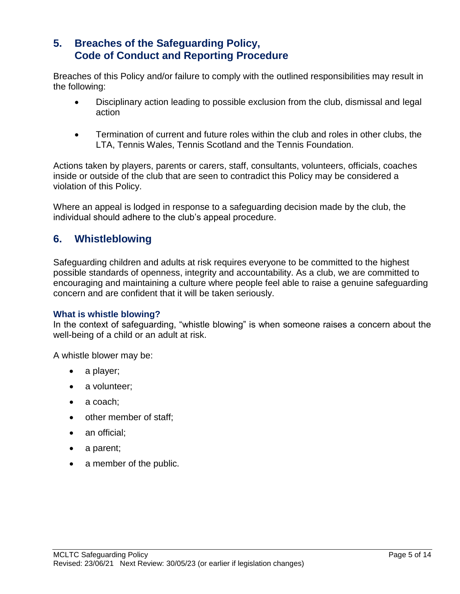## **5. Breaches of the Safeguarding Policy, Code of Conduct and Reporting Procedure**

Breaches of this Policy and/or failure to comply with the outlined responsibilities may result in the following:

- Disciplinary action leading to possible exclusion from the club, dismissal and legal action
- Termination of current and future roles within the club and roles in other clubs, the LTA, Tennis Wales, Tennis Scotland and the Tennis Foundation*.*

Actions taken by players, parents or carers, staff, consultants, volunteers, officials, coaches inside or outside of the club that are seen to contradict this Policy may be considered a violation of this Policy.

Where an appeal is lodged in response to a safeguarding decision made by the club, the individual should adhere to the club's appeal procedure.

## **6. Whistleblowing**

Safeguarding children and adults at risk requires everyone to be committed to the highest possible standards of openness, integrity and accountability. As a club, we are committed to encouraging and maintaining a culture where people feel able to raise a genuine safeguarding concern and are confident that it will be taken seriously.

#### **What is whistle blowing?**

In the context of safeguarding, "whistle blowing" is when someone raises a concern about the well-being of a child or an adult at risk.

A whistle blower may be:

- a player;
- a volunteer;
- a coach:
- other member of staff;
- an official;
- a parent;
- a member of the public.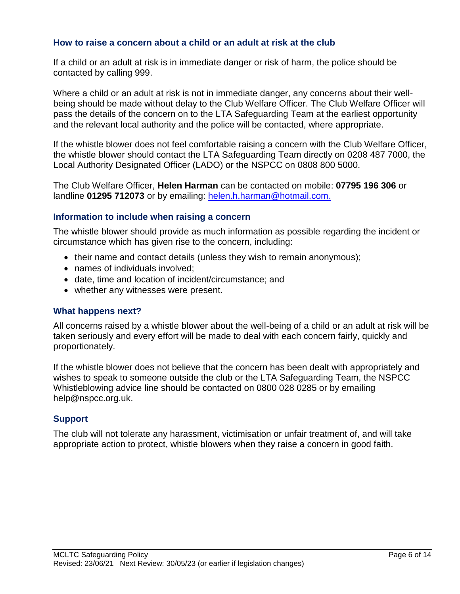#### **How to raise a concern about a child or an adult at risk at the club**

If a child or an adult at risk is in immediate danger or risk of harm, the police should be contacted by calling 999.

Where a child or an adult at risk is not in immediate danger, any concerns about their wellbeing should be made without delay to the Club Welfare Officer. The Club Welfare Officer will pass the details of the concern on to the LTA Safeguarding Team at the earliest opportunity and the relevant local authority and the police will be contacted, where appropriate.

If the whistle blower does not feel comfortable raising a concern with the Club Welfare Officer, the whistle blower should contact the LTA Safeguarding Team directly on 0208 487 7000, the Local Authority Designated Officer (LADO) or the NSPCC on 0808 800 5000.

The Club Welfare Officer, **Helen Harman** can be contacted on mobile: **07795 196 306** or landline **01295 712073** or by emailing: [helen.h.harman@hotmail.com.](mailto:helen.h.harman@hotmail.com)

#### **Information to include when raising a concern**

The whistle blower should provide as much information as possible regarding the incident or circumstance which has given rise to the concern, including:

- $\bullet$  their name and contact details (unless they wish to remain anonymous);
- names of individuals involved;
- date, time and location of incident/circumstance; and
- whether any witnesses were present.

#### **What happens next?**

All concerns raised by a whistle blower about the well-being of a child or an adult at risk will be taken seriously and every effort will be made to deal with each concern fairly, quickly and proportionately.

If the whistle blower does not believe that the concern has been dealt with appropriately and wishes to speak to someone outside the club or the LTA Safeguarding Team, the NSPCC Whistleblowing advice line should be contacted on 0800 028 0285 or by emailing [help@nspcc.org.uk.](mailto:help@nspcc.org.uk)

#### **Support**

The club will not tolerate any harassment, victimisation or unfair treatment of, and will take appropriate action to protect, whistle blowers when they raise a concern in good faith.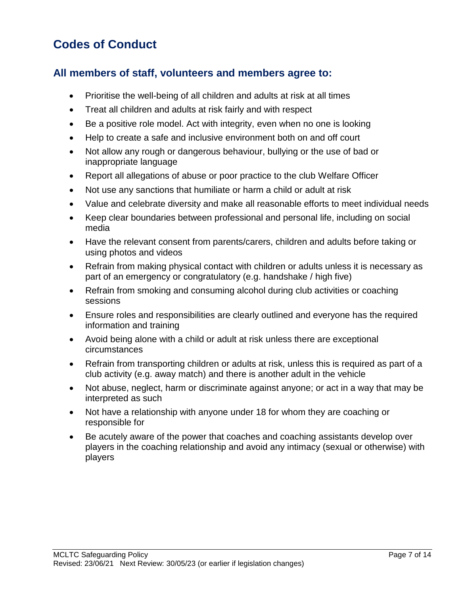# **Codes of Conduct**

## **All members of staff, volunteers and members agree to:**

- Prioritise the well-being of all children and adults at risk at all times
- Treat all children and adults at risk fairly and with respect
- Be a positive role model. Act with integrity, even when no one is looking
- Help to create a safe and inclusive environment both on and off court
- Not allow any rough or dangerous behaviour, bullying or the use of bad or inappropriate language
- Report all allegations of abuse or poor practice to the club Welfare Officer
- Not use any sanctions that humiliate or harm a child or adult at risk
- Value and celebrate diversity and make all reasonable efforts to meet individual needs
- Keep clear boundaries between professional and personal life, including on social media
- Have the relevant consent from parents/carers, children and adults before taking or using photos and videos
- Refrain from making physical contact with children or adults unless it is necessary as part of an emergency or congratulatory (e.g. handshake / high five)
- Refrain from smoking and consuming alcohol during club activities or coaching sessions
- Ensure roles and responsibilities are clearly outlined and everyone has the required information and training
- Avoid being alone with a child or adult at risk unless there are exceptional circumstances
- Refrain from transporting children or adults at risk, unless this is required as part of a club activity (e.g. away match) and there is another adult in the vehicle
- Not abuse, neglect, harm or discriminate against anyone; or act in a way that may be interpreted as such
- Not have a relationship with anyone under 18 for whom they are coaching or responsible for
- Be acutely aware of the power that coaches and coaching assistants develop over players in the coaching relationship and avoid any intimacy (sexual or otherwise) with players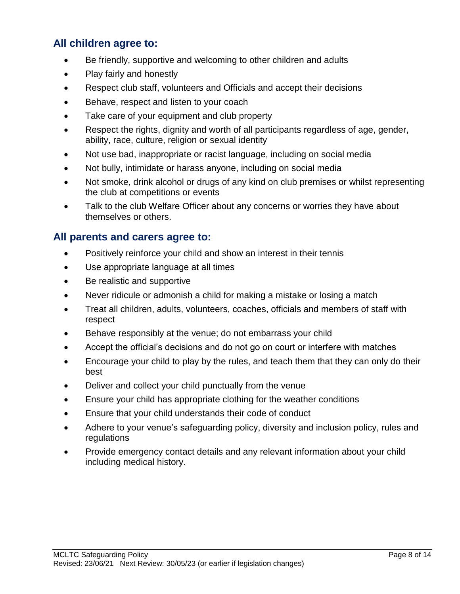## **All children agree to:**

- Be friendly, supportive and welcoming to other children and adults
- Play fairly and honestly
- Respect club staff, volunteers and Officials and accept their decisions
- Behave, respect and listen to your coach
- Take care of your equipment and club property
- Respect the rights, dignity and worth of all participants regardless of age, gender, ability, race, culture, religion or sexual identity
- Not use bad, inappropriate or racist language, including on social media
- Not bully, intimidate or harass anyone, including on social media
- Not smoke, drink alcohol or drugs of any kind on club premises or whilst representing the club at competitions or events
- Talk to the club Welfare Officer about any concerns or worries they have about themselves or others.

## **All parents and carers agree to:**

- Positively reinforce your child and show an interest in their tennis
- Use appropriate language at all times
- Be realistic and supportive
- Never ridicule or admonish a child for making a mistake or losing a match
- Treat all children, adults, volunteers, coaches, officials and members of staff with respect
- Behave responsibly at the venue; do not embarrass your child
- Accept the official's decisions and do not go on court or interfere with matches
- Encourage your child to play by the rules, and teach them that they can only do their best
- Deliver and collect your child punctually from the venue
- Ensure your child has appropriate clothing for the weather conditions
- Ensure that your child understands their code of conduct
- Adhere to your venue's safeguarding policy, diversity and inclusion policy, rules and regulations
- Provide emergency contact details and any relevant information about your child including medical history.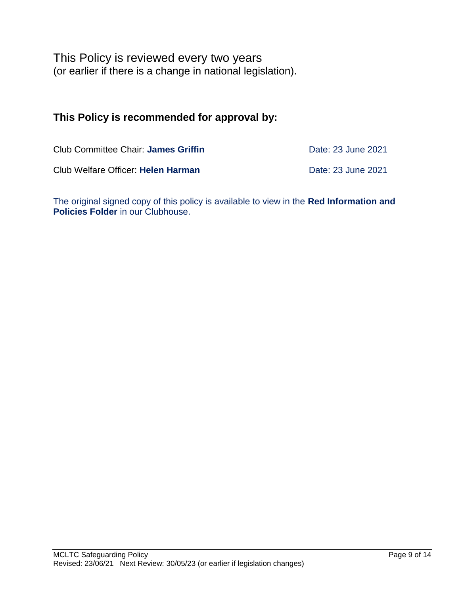This Policy is reviewed every two years (or earlier if there is a change in national legislation).

## **This Policy is recommended for approval by:**

| Club Committee Chair: James Griffin | Date: 23 June 2021 |
|-------------------------------------|--------------------|
| Club Welfare Officer: Helen Harman  | Date: 23 June 2021 |

The original signed copy of this policy is available to view in the **Red Information and Policies Folder** in our Clubhouse.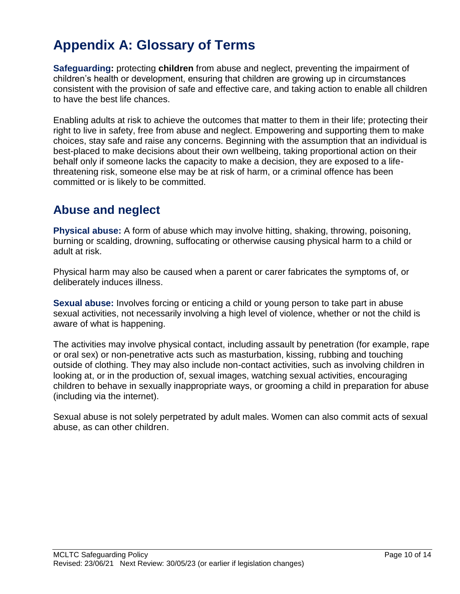# **Appendix A: Glossary of Terms**

**Safeguarding:** protecting **children** from abuse and neglect, preventing the impairment of children's health or development, ensuring that children are growing up in circumstances consistent with the provision of safe and effective care, and taking action to enable all children to have the best life chances.

Enabling adults at risk to achieve the outcomes that matter to them in their life; protecting their right to live in safety, free from abuse and neglect. Empowering and supporting them to make choices, stay safe and raise any concerns. Beginning with the assumption that an individual is best-placed to make decisions about their own wellbeing, taking proportional action on their behalf only if someone lacks the capacity to make a decision, they are exposed to a lifethreatening risk, someone else may be at risk of harm, or a criminal offence has been committed or is likely to be committed.

# **Abuse and neglect**

**Physical abuse:** A form of abuse which may involve hitting, shaking, throwing, poisoning, burning or scalding, drowning, suffocating or otherwise causing physical harm to a child or adult at risk.

Physical harm may also be caused when a parent or carer fabricates the symptoms of, or deliberately induces illness.

**Sexual abuse:** Involves forcing or enticing a child or young person to take part in abuse sexual activities, not necessarily involving a high level of violence, whether or not the child is aware of what is happening.

The activities may involve physical contact, including assault by penetration (for example, rape or oral sex) or non-penetrative acts such as masturbation, kissing, rubbing and touching outside of clothing. They may also include non-contact activities, such as involving children in looking at, or in the production of, sexual images, watching sexual activities, encouraging children to behave in sexually inappropriate ways, or grooming a child in preparation for abuse (including via the internet).

Sexual abuse is not solely perpetrated by adult males. Women can also commit acts of sexual abuse, as can other children.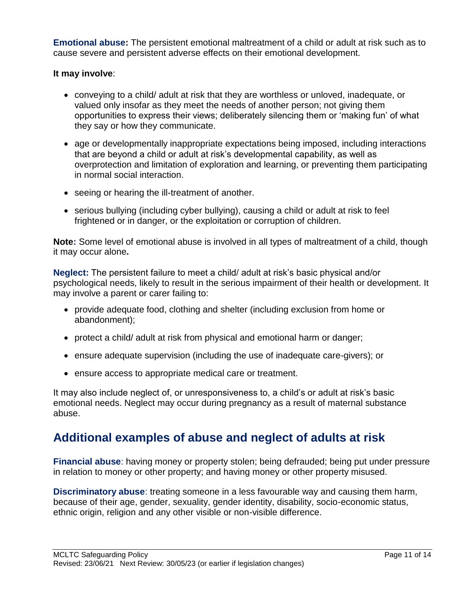**Emotional abuse:** The persistent emotional maltreatment of a child or adult at risk such as to cause severe and persistent adverse effects on their emotional development.

#### **It may involve**:

- conveying to a child/ adult at risk that they are worthless or unloved, inadequate, or valued only insofar as they meet the needs of another person; not giving them opportunities to express their views; deliberately silencing them or 'making fun' of what they say or how they communicate.
- age or developmentally inappropriate expectations being imposed, including interactions that are beyond a child or adult at risk's developmental capability, as well as overprotection and limitation of exploration and learning, or preventing them participating in normal social interaction.
- seeing or hearing the ill-treatment of another.
- serious bullying (including cyber bullying), causing a child or adult at risk to feel frightened or in danger, or the exploitation or corruption of children.

**Note:** Some level of emotional abuse is involved in all types of maltreatment of a child, though it may occur alone**.** 

**Neglect:** The persistent failure to meet a child/ adult at risk's basic physical and/or psychological needs, likely to result in the serious impairment of their health or development. It may involve a parent or carer failing to:

- provide adequate food, clothing and shelter (including exclusion from home or abandonment);
- protect a child/ adult at risk from physical and emotional harm or danger;
- ensure adequate supervision (including the use of inadequate care-givers); or
- ensure access to appropriate medical care or treatment.

It may also include neglect of, or unresponsiveness to, a child's or adult at risk's basic emotional needs. Neglect may occur during pregnancy as a result of maternal substance abuse.

## **Additional examples of abuse and neglect of adults at risk**

**Financial abuse**: having money or property stolen; being defrauded; being put under pressure in relation to money or other property; and having money or other property misused.

**Discriminatory abuse**: treating someone in a less favourable way and causing them harm, because of their age, gender, sexuality, gender identity, disability, socio-economic status, ethnic origin, religion and any other visible or non-visible difference.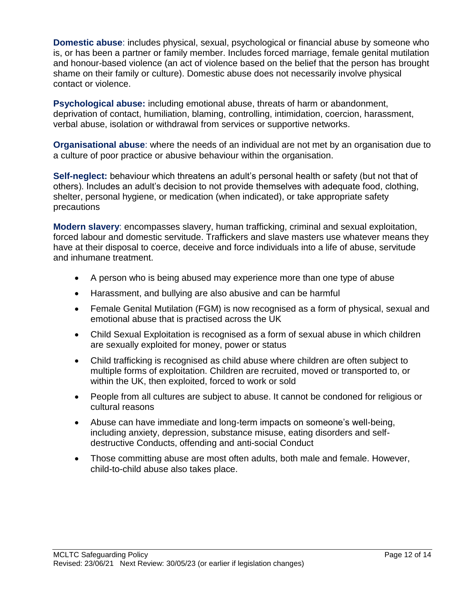**Domestic abuse**: includes physical, sexual, psychological or financial abuse by someone who is, or has been a partner or family member. Includes forced marriage, female genital mutilation and honour-based violence (an act of violence based on the belief that the person has brought shame on their family or culture). Domestic abuse does not necessarily involve physical contact or violence.

**Psychological abuse:** including emotional abuse, threats of harm or abandonment, deprivation of contact, humiliation, blaming, controlling, intimidation, coercion, harassment, verbal abuse, isolation or withdrawal from services or supportive networks.

**Organisational abuse**: where the needs of an individual are not met by an organisation due to a culture of poor practice or abusive behaviour within the organisation.

**Self-neglect:** behaviour which threatens an adult's personal health or safety (but not that of others). Includes an adult's decision to not provide themselves with adequate food, clothing, shelter, personal hygiene, or medication (when indicated), or take appropriate safety precautions

**Modern slavery**: encompasses slavery, human trafficking, criminal and sexual exploitation, forced labour and domestic servitude. Traffickers and slave masters use whatever means they have at their disposal to coerce, deceive and force individuals into a life of abuse, servitude and inhumane treatment.

- A person who is being abused may experience more than one type of abuse
- Harassment, and bullying are also abusive and can be harmful
- Female Genital Mutilation (FGM) is now recognised as a form of physical, sexual and emotional abuse that is practised across the UK
- Child Sexual Exploitation is recognised as a form of sexual abuse in which children are sexually exploited for money, power or status
- Child trafficking is recognised as child abuse where children are often subject to multiple forms of exploitation. Children are recruited, moved or transported to, or within the UK, then exploited, forced to work or sold
- People from all cultures are subject to abuse. It cannot be condoned for religious or cultural reasons
- Abuse can have immediate and long-term impacts on someone's well-being, including anxiety, depression, substance misuse, eating disorders and selfdestructive Conducts, offending and anti-social Conduct
- Those committing abuse are most often adults, both male and female. However, child-to-child abuse also takes place.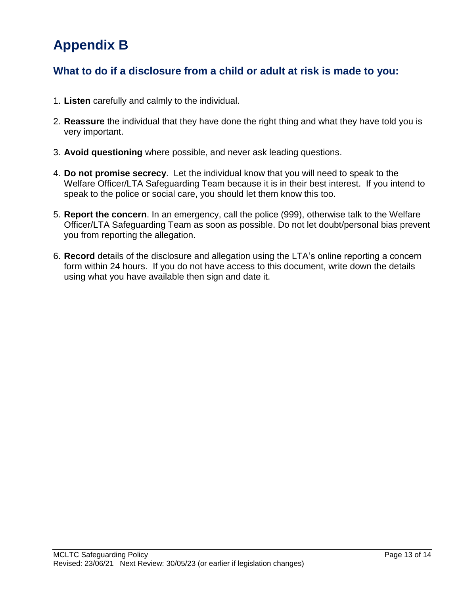# **Appendix B**

## **What to do if a disclosure from a child or adult at risk is made to you:**

- 1. **Listen** carefully and calmly to the individual.
- 2. **Reassure** the individual that they have done the right thing and what they have told you is very important.
- 3. **Avoid questioning** where possible, and never ask leading questions.
- 4. **Do not promise secrecy**. Let the individual know that you will need to speak to the Welfare Officer/LTA Safeguarding Team because it is in their best interest. If you intend to speak to the police or social care, you should let them know this too.
- 5. **Report the concern**. In an emergency, call the police (999), otherwise talk to the Welfare Officer/LTA Safeguarding Team as soon as possible. Do not let doubt/personal bias prevent you from reporting the allegation.
- 6. **Record** details of the disclosure and allegation using the LTA's online reporting a concern form within 24 hours. If you do not have access to this document, write down the details using what you have available then sign and date it.